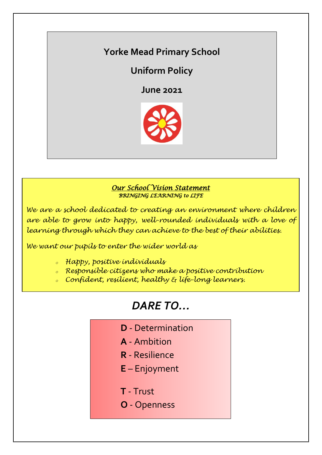## **Yorke Mead Primary School**

## **Uniform Policy**

**June 2021**



### *Our School Vision Statement BRINGING LEARNING to LIFE*

*We are a school dedicated to creating an environment where children are able to grow into happy, well-rounded individuals with a love of learning through which they can achieve to the best of their abilities.*

*We want our pupils to enter the wider world as*

- *<sup>o</sup> Happy, positive individuals*
- *<sup>o</sup> Responsible citizens who make a positive contribution*
- *<sup>o</sup> Confident, resilient, healthy & life-long learners.*

# *DARE TO…*

- **D** Determination
- **A** Ambition
- **R** Resilience
- **E** Enjoyment
- **T** Trust
- **O** Openness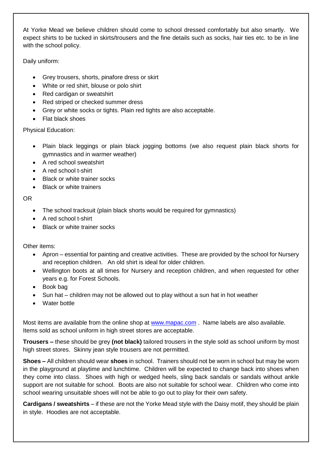At Yorke Mead we believe children should come to school dressed comfortably but also smartly. We expect shirts to be tucked in skirts/trousers and the fine details such as socks, hair ties etc. to be in line with the school policy.

Daily uniform:

- Grey trousers, shorts, pinafore dress or skirt
- White or red shirt, blouse or polo shirt
- Red cardigan or sweatshirt
- Red striped or checked summer dress
- Grey or white socks or tights. Plain red tights are also acceptable.
- Flat black shoes

Physical Education:

- Plain black leggings or plain black jogging bottoms (we also request plain black shorts for gymnastics and in warmer weather)
- A red school sweatshirt
- A red school t-shirt
- Black or white trainer socks
- Black or white trainers

OR

- The school tracksuit (plain black shorts would be required for gymnastics)
- A red school t-shirt
- Black or white trainer socks

Other items:

- Apron essential for painting and creative activities. These are provided by the school for Nursery and reception children. An old shirt is ideal for older children.
- Wellington boots at all times for Nursery and reception children, and when requested for other years e.g. for Forest Schools.
- Book bag
- Sun hat children may not be allowed out to play without a sun hat in hot weather
- Water bottle

Most items are available from the online shop at [www.mapac.com](http://www.mapac.com/) . Name labels are also available. Items sold as school uniform in high street stores are acceptable.

**Trousers –** these should be grey **(not black)** tailored trousers in the style sold as school uniform by most high street stores. Skinny jean style trousers are not permitted.

**Shoes –** All children should wear **shoes** in school. Trainers should not be worn in school but may be worn in the playground at playtime and lunchtime. Children will be expected to change back into shoes when they come into class. Shoes with high or wedged heels, sling back sandals or sandals without ankle support are not suitable for school. Boots are also not suitable for school wear. Children who come into school wearing unsuitable shoes will not be able to go out to play for their own safety.

**Cardigans / sweatshirts** – if these are not the Yorke Mead style with the Daisy motif, they should be plain in style. Hoodies are not acceptable.